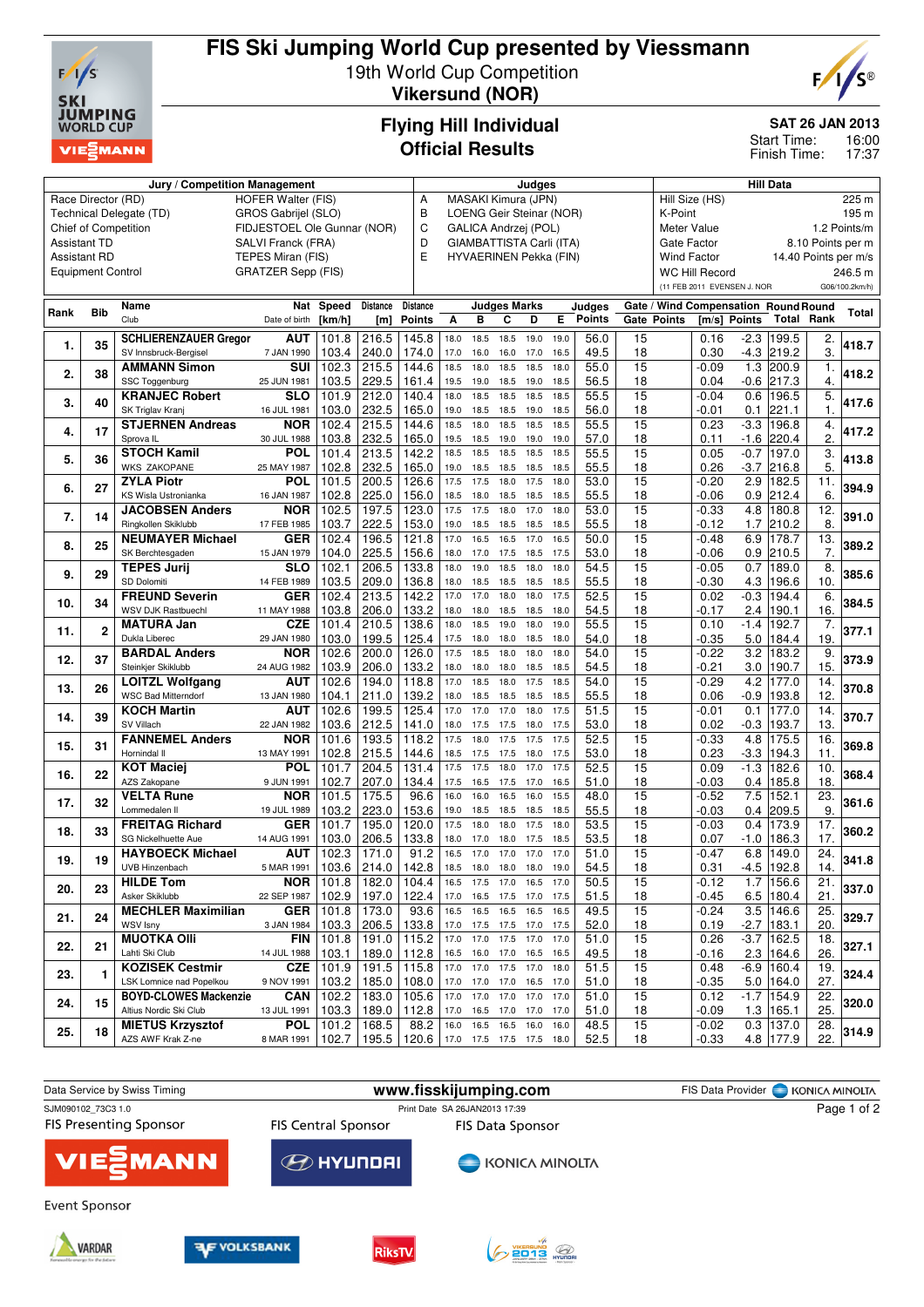

#### **FIS Ski Jumping World Cup presented by Viessmann** 19th World Cup Competition

**Vikersund (NOR)**



**SAT 26 JAN 2013**

16:00 Start Time:

# **Flying Hill Individual Official Results**

|           | _____________<br>Finish Time: | .<br>17:37       |
|-----------|-------------------------------|------------------|
|           | <b>Hill Data</b>              |                  |
| Size (HS) |                               | 225 <sub>m</sub> |

#### **Jury / Competition Management Judges HOEER Walter (FIS) A** MASAKI Kimura (JPN) Race Director (RD) HOFER Walter (FIS) Technical Delegate (TD) GROS Gabrijel (SLO) Chief of Competition FIDJESTOFL Ole Gunnar (NOR) Assistant TD SALVI Franck (FRA) Assistant RD TEPES Miran (FIS) Equipment Control GRATZER Sepp (FIS) A MASAKI Kimura (JPN) B LOENG Geir Steinar (NOR) C GALICA Andrzej (POL) D GIAMBATTISTA Carli (ITA) E HYVAERINEN Pekka (FIN) Hill Size (HS) 225 m K-Point 195 m<br>Meter Value 12 Points/m 1.2 Points/m Gate Factor 8.10 Points per m Wind Factor 14.40 Points per m/s WC Hill Record 246.5 m (11 FEB 2011 EVENSEN J. NOR G06/100.2km/h) **Rank Bib Name** Club **Nat Speed** Date of birth **[km/h] Distance [m] Distance Points Judges Marks A B C D E Judges Points Gate / Wind Compensation Round Round Gate Points [m/s] Points Total Total 1. 35 SCHLIERENZAUER Gregor** SV Innsbruck-Bergisel **AUT 4UT** | 101.8 | 216.5 | 145.8 | 18.0 18.5 18.5 19.0 19.0 | 56.0 | 15 | 0.16 - 2.3 | 199.5 | 2. | 418.7<br>7 JAN 1990 | 103.4 | 240.0 | 174.0 | 17.0 16.0 16.0 17.0 16.5 | 49.5 | 18 | 0.30 - 4.3 | 219.2 | 3. | 418.7 103.4 240.0 174.0 17.0 16.0 16.0 17.0 16.5 49.5 18 18 0.30 -4.3 219.2 3. **2. 38 AMMANN Simon** SSC Toggenburg **SUI**<br>
25 JUN 1981 **25 JUN 1**02.3 215.5 144.6 18.5 18.0 18.5 18.5 18.0 15 416.2<br>25 JUN 1981 103.5 229.5 161.4 19.5 19.0 18.5 19.0 18.5 156.5 18 0.04 -0.6 217.3 4. 103.5 229.5 161.4 19.5 19.0 18.5 19.0 18.5 56.5 18 18 10.04 -0.6 217.3 4. **3.** 40 **KRANJEC Robert** SK Triglav Kranj **SLO**<br>16JUL 1981 **16** JUL 1981 **101.9** 212.0 **410.4** 18.0 18.5 18.5 18.5 18.5 18.5 **18.5** 15.5 **15.5** 15.5 **10.04** 103.0 **232.5 16.5.0** 18.5 18.5 18.5 **16.0** 18.6 **10.01** 10.1 **221.1** 1. 103.0 232.5 165.0 19.0 18.5 18.5 19.0 18.5 | 56.0 | 18 | -0.01 0.1 221.1 | 1. **4. 17 STJERNEN Andreas** Sprova IL **NOR** 30 JUL 1988 **417.2** 102.4 215.5 144.6 18.5 18.0 18.5 18.5 18.5 55.5 15 0.23 -3.3 196.8 4. 103.8 232.5 165.0 19.5 18.5 19.0 19.0 19.0 57.0 18 10.11 -1.6 220.4 2. **5. 36 STOCH Kamil** WKS ZAKOPANE **POL**<br>25 MAY 1987 25 MAY 1987 **413.8** 101.4 213.5 142.2 18.5 18.5 18.5 18.5 18.5 55.5 15 0.05 -0.7 197.0 3. 102.8 232.5 165.0 19.0 18.5 18.5 18.5 18.5 55.5 18 0.26 -3.7 216.8 5. **6. 27 ZYLA Piotr** KS Wisla Ustronia **POL 16 JAN 1987 101.5 | 200.5 | 126.6 | 17.5 17.5 18.0 17.5 18.0 | 53.0 | 15 | -0.20 2.9 | 182.5 | 11. | 394.9 | 16<br>16 JAN 1987 | 102.8 | 225.0 | 156.0 | 18.5 18.0 18.5 18.5 18.5 | 55.5 | 18 | -0.06 0.9 | 212.4 | 6.** 102.8 225.0 156.0 18.5 18.0 18.5 18.5 18.5 55.5 18 -0.06 0.9 212.4 6. **7. 14 JACOBSEN Anders** Ringkollen Skiklubb **NOR** 17 FEB 1985 **391.0** 102.5 197.5 123.0 17.5 17.5 18.0 17.0 18.0 53.0 15 -0.33 4.8 180.8 12. 103.7 | 222.5 | 153.0 | 19.0 18.5 18.5 18.5 18.5 | 55.5 | 18 | 0.12 1.7 | 210.2 | 8. **8. 25 NEUMAYER Michael** SK Berchtesgaden **GER**<br>15 JAN 1979 **439.2** GER | 102.4 | 196.5 | 121.8 | 17.0 16.5 17.0 16.5 | 50.0 | 15 | -0.48 6.9 | 178.7 | 13. | 389.2<br>15 JAN 1979 | 104.0 | 225.5 | 156.6 | 18.0 17.0 17.5 18.5 17.5 | 53.0 | 18 | -0.06 0.9 | 210.5 | 7. | 389.2 104.0 | 225.5 | 156.6 | 18.0 17.0 17.5 18.5 17.5 |  $\,$  53.0 |  $\,$  18  $\,$  |  $\,$  -0.06  $\,$  0.9 | 210.5 |  $\,$  7. **9. 29 TEPES Jurij** SD Dolomiti **SLO 14 FEB 1989 102.1 206.5 133.8** 18.0 19.0 18.5 18.0 18.0 18.5 16.5 16.1 15 10.05 0.7 189.0 8.<br>14 FEB 1989 103.5 209.0 136.8 18.0 18.5 18.5 18.5 18.5 18.5 18.5 18.5 18.6 18.0 18.0 19.0.30 1.38 196.6 10. 103.5 | 209.0 | 136.8 | 18.0 18.5 18.5 18.5 | 18.5 | 18.5 | 18.0 | 18.0 | 18.0 | 18.0 | 18.0 | 18.0 | 18.0 | **10. 34 FREUND Severin** WSV DJK Rastbuech **GER**<br>11 MAY 1988 11 MAY 1988 **384.5** 102.4 213.5 142.2 17.0 17.0 18.0 18.0 17.5 52.5 15 0.02 -0.3 194.4 6. 103.8 206.0 133.2 18.0 18.0 18.5 18.5 18.0 | 54.5 | 18 | -0.17 2.4 | 190.1 | 16. **11. 2 MATURA Jan** Dukla Libere **CZE CZE** | 101.4 | 210.5 | 138.6 | 18.0 18.5 19.0 18.0 19.0 | 55.5 | 15 0.10 -1.4 | 192.7 | 7. | 377.1<br>29 JAN 1980 | 103.0 | 199.5 | 125.4 | 17.5 18.0 18.0 18.5 18.0 | 54.0 | 18 -103.0 | 199.5 | 125.4 | 17.5 18.0 18.0 18.5 18.0 | 54.0 | 18 | 18 | 10.35 5.0 | 184.4 | 19. **12. 37 BARDAL Anders** Steinkjer Skiklubb **NOR**<br>24 AUG 1982 **NOR** | 102.6 | 200.0 | 126.0 | 17.5 18.5 18.0 18.0 18.0 | 54.0 | 15 | -0.22 3.2 | 183.2 | 9. | 373.9<br>24 AUG 1982 | 103.9 | 206.0 | 133.2 | 18.0 18.0 18.0 18.5 18.5 | 54.5 | 18 | -0.21 3.0 | 190.7 | 15. | 373.9 103.9 | 206.0 | 133.2 | 18.0 18.0 18.0 18.5 | 18.5 | 54.5 | 18 | 18 | 19.21 3.0 | 190.7 | 15. **13. 26 LOITZL Wolfgang** WSC Bad Mitterndor **AUT 401 11** 102.6 | 194.0 | 118.8 | 17.0 18.5 18.0 17.5 18.5 | 54.0 | 15 | -0.29 14.2 | 177.0 | 14. | 370.8<br>13 JAN 1980 | 104.1 | 211.0 | 139.2 | 18.0 18.5 18.5 18.5 18.5 18.5 | 55.5 | 18 | 0.06 -0.9 | 193.8 | 12. | 370 104.1 | 211.0 | 139.2 | 18.0 18.5 18.5 18.5 18.5 | 55.5 | 18 | 0.06 -0.9 | 193.8 | 12. **14. 39 KOCH Martin** SV Villach **AUT 400 114.** 199.5 125.4 17.0 17.0 18.0 17.5 13.5 15.1 15 10.01 177.0 13.6 1370.7<br>22 JAN 1982 103.6 212.5 141.0 18.0 17.5 17.5 18.0 17.5 15.0 18 0.02 -0.3 193.7 13. 103.6 212.5 141.0 18.0 17.5 17.5 18.0 17.5 53.0 18 0.02 -0.3 193.7 13. **15. 31 FANNEMEL Anders** Hornindal Il **NOR**<br>13 MAY 1991 13 MOR | 101.6 | 193.5 | 118.2 | 17.5 18.0 17.5 17.5 17.5 | 52.5 | 15 | -0.33 4.8 | 175.5 | 16. | 369.8<br><sup>13 MAY 1991 | 102.8 | 215.5 | 144.6 | 18.5 17.5 17.5 18.0 17.5 | 53.0 | 18 | 0.23 -3.3 | 194.3 | 11.</sup> 102.8 215.5 144.6 18.5 17.5 17.5 18.0 17.5 | 53.0 | 18 | 0.23 -3.3 | 194.3 | 11. **16. 22 KOT Maciej** AZS Zakopai **POL** 9 JUN 1991 101.7 204.5 131.4 17.5 17.5 18.0 17.0 17.5 12.5 15.5 15.0 10.9 -1.3 182.6 10.<br>9 JUN 1991 102.7 207.0 134.4 17.5 16.5 17.5 17.0 16.5 17.0 16.5 17.0 18 102.7 | 207.0 | 134.4 | 17.5 16.5 17.5 17.0 16.5 | 51.0 | 18 | -0.03 0.4 |185.8 | 18. **17. 32 VELTA Rune** Lommedalen Il **NOR**<br>19 JUL 1989 **19 JUL 1989 101.5** 175.5 96.6 16.0 16.0 16.5 16.0 15.5 48.0 15 10.52 7.5 152.1 23. 361.6<br>19 JUL 1989 103.2 223.0 153.6 19.0 18.5 18.5 18.5 18.5 18.5 55.5 18 103.2 223.0 153.6 19.0 18.5 18.5 18.5 18.5 55.5 18 -0.03 0.4 209.5 3.4 **18. 33 FREITAG Richard** SG Nickelhuette Aue **GER GER** | 101.7 | 195.0 | 120.0 | 17.5 18.0 17.5 18.0 | 53.5 | 15 | -0.03 0.4 | 173.9 | 17. | 360.2<br>2**06.5** | 133.8 | 18.0 17.0 18.0 17.5 18.5 | 53.5 | 18 | 0.07 -1.0 | 186.3 | 103.0 | 206.5 | 133.8 | 18.0 17.0 18.0 17.5 18.5 | 53.5 | 18 | 0.07 -1.0 | 186.3 | 17. **19. 19 HAYBOECK Michael** UVB Hinzenbach **AUT**<br>5 MAR 1991 5 MAR 1991 **341.8** 102.3 171.0 91.2 16.5 17.0 17.0 17.0 17.0 51.0 15 -0.47 6.8 149.0 24. 103.6 214.0 142.8 18.5 18.0 18.0 18.0 19.0 54.5 18 0.31 -4.5 192.8 14. **20. 23 HILDE Tom** Asker Skiklubb **NOR NOR** | 101.8 | 182.0 | 104.4 | 16.5 17.5 17.0 16.5 17.0 | 50.5 | 15 | -0.12 1.7 | 156.6 | 21. | 337.0<br>22 SEP 1987 | 102.9 | 197.0 | 122.4 | 17.0 16.5 17.5 17.0 17.5 | 51.5 | 18 | -0.45 6.5 | 180.4 | 21. | 337.0 102.9 | 197.0 | 122.4 | 17.0 16.5 17.5 17.0 17.5 | 51.5 | 18 | 18 | 0.45 6.5 | 180.4 | 21. **21. 24 MECHLER Maximilian** WSV Isny **GER 43 GER** | 101.8 | 173.0 | 93.6 | 16.5 16.5 16.5 16.5 16.5 | 49.5 | 15 | -0.24 3.5 | 146.6 | 25. | 329.7<br>133.0 | 133.8 | 17.0 17.5 17.5 17.0 17.5 | 52.0 | 18 | 0.19 -2.7 | 183.1 | 20. | 20. 103.3 206.5 133.8 17.0 17.5 17.5 17.0 17.5 52.0 18 0.19 -2.7 183.1 20. **22. 21 MUOTKA Olli** Lahti Ski Club **FIN** 14 JUL 1988 **101.8** 191.0 **115.2** 17.0 17.0 17.5 17.0 17.0 17.0 15.0 **15.0** 15.0 **16.2 16.2 16.2 16.4 16.2 16.4 16.2 16.4 16.5** 16.4 17.0 16.5 **16.4 16.1 16.1 16.1 16.1 16.1 16.1 17.0** 16.5 16.5 **16.4 16.1 16.1 16.4 16.1 1** 103.1 | 189.0 | 112.8 | 16.5 16.0 17.0 16.5 16.5 | 49.5 | 18 | 18 | -0.16 2.3 | 164.6 | 26. **23. 1 KOZISEK Cestmir** LSK Lomnice nad Popelkou **CZE** CZE | 101.9 | 191.5 | 115.8 | 17.0 17.0 17.5 17.0 18.0 | 51.5 | 15 | 0.48 −6.9 | 160.4 | 19. | 324.4<br>9 0.35 5.0 | 164.0 | 27. | 186.0 | 17.0 17.0 17.0 16.5 17.0 | 51.0 | 18 | 0.35 5.0 | 164.0 | 27. | 324.4 103.2 185.0 108.0 17.0 17.0 17.0 16.5 17.0 51.0 18 -0.35 5.0 164.0 27. **24. 15 BOYD-CLOWES Mackenzie** Altius Nordic Ski Club **CAN**<br>13 JUL 1991 **CAN** 102.2 | 183.0 | 105.6 | 17.0 17.0 17.0 17.0 17.0 17.0 | 15 | 0.12 -1.7 | 154.9 | 22. | 320.0<br>13 JUL 1991 | 103.3 | 189.0 | 112.8 | 17.0 16.5 17.0 17.0 17.0 17.0 | 51.0 | 18 | 0.09 1.3 | 165.1 | 25. | 320.0 103.3 189.0 112.8 17.0 16.5 17.0 17.0 17.0 51.0 18 -0.09 1.3 165.1 25. **25. 18 MIETUS Krzysztof** AZS AWF Krak Z-ne **POL** 8 POL 101.2 168.5 88.2 16.0 16.5 16.0 16.0 16.0 16.5 16.5 16.5 28.<br>8 MAR 1991 102.7 195.5 120.6 17.0 17.5 17.5 17.5 18.0 52.5 18 -0.33 4.8 177.9 22. 102.7 | 195.5 | 120.6 | 17.0 17.5 17.5 17.5 18.0 | 52.5 | 18 | -0.33 4.8 | 177.9 | 22.